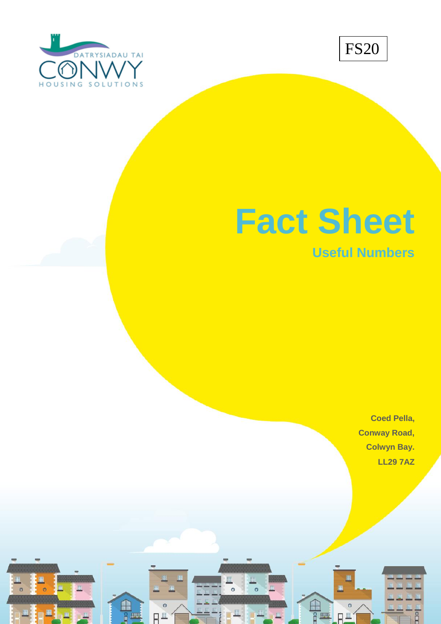



## **Fact Sheet**

**Useful Numbers**

**Coed Pella, Conway Road, Colwyn Bay. LL29 7AZ**

FO

**Version 2 – Sept 2018**

 $\circ$ 

 $H^{\pm}$ 

**HHH** 

 $\circ$ 

 $\circ$ 

 $H^{\pm}$